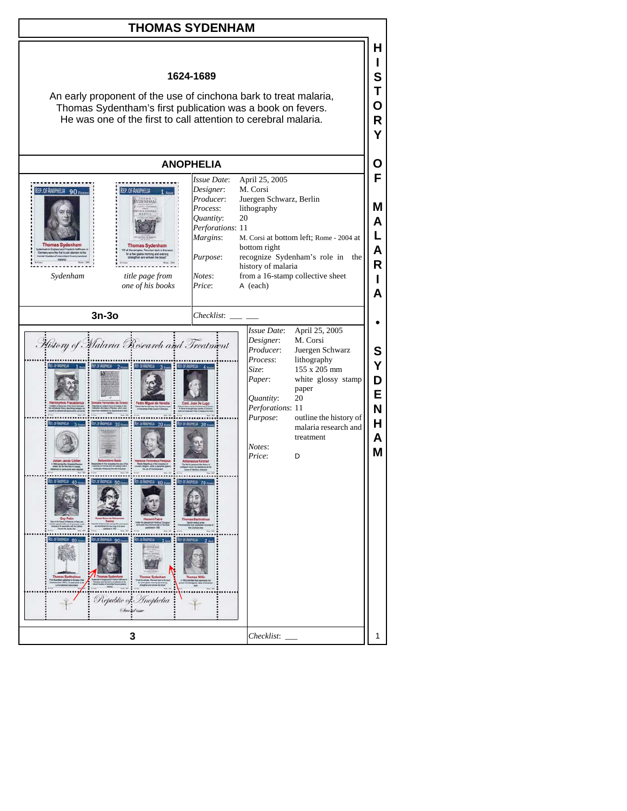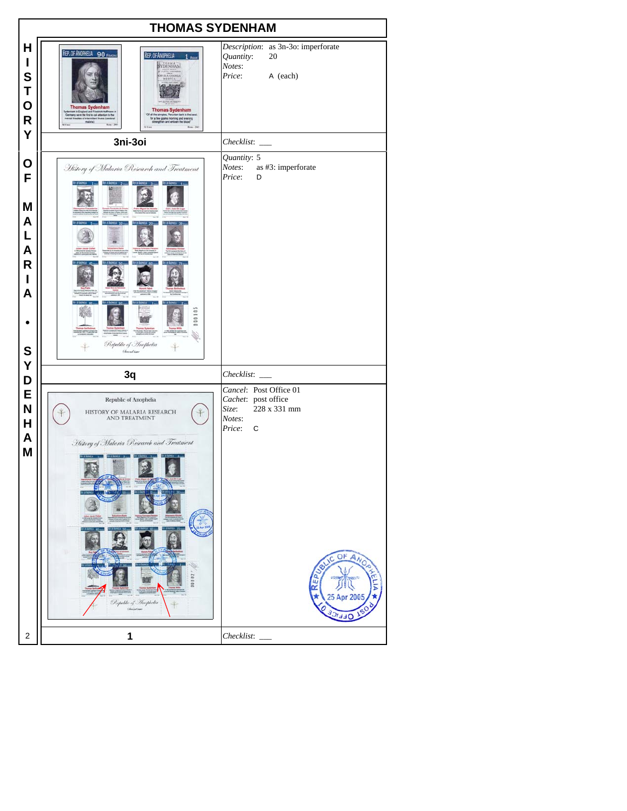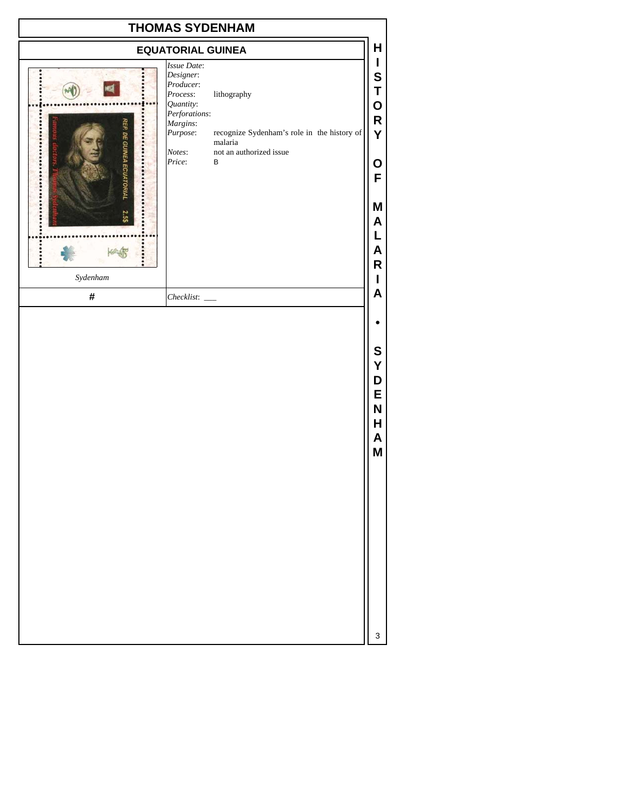| <b>THOMAS SYDENHAM</b>              |                                                                                                                             |                                                                                                       |                                                |
|-------------------------------------|-----------------------------------------------------------------------------------------------------------------------------|-------------------------------------------------------------------------------------------------------|------------------------------------------------|
| <b>EQUATORIAL GUINEA</b>            |                                                                                                                             |                                                                                                       | Н                                              |
| <b>REP. DE GUINEA ECUATORIA</b><br> | Issue Date:<br>Designer:<br>Producer:<br>Process:<br>Quantity:<br>Perforations:<br>Margins:<br>Purpose:<br>Notes:<br>Price: | lithography<br>recognize Sydenham's role in the history of<br>malaria<br>not an authorized issue<br>В | I<br>S<br>Τ<br>O<br>$\mathsf R$<br>Y<br>O<br>F |
| Sydenham<br>$\#$                    | Checklist:                                                                                                                  |                                                                                                       | Μ<br>A<br>L<br>A<br>R<br>I<br>A                |
|                                     |                                                                                                                             |                                                                                                       | S<br>Υ<br>D<br>E<br>N<br>Н<br>A<br>M           |
|                                     |                                                                                                                             |                                                                                                       | 3                                              |